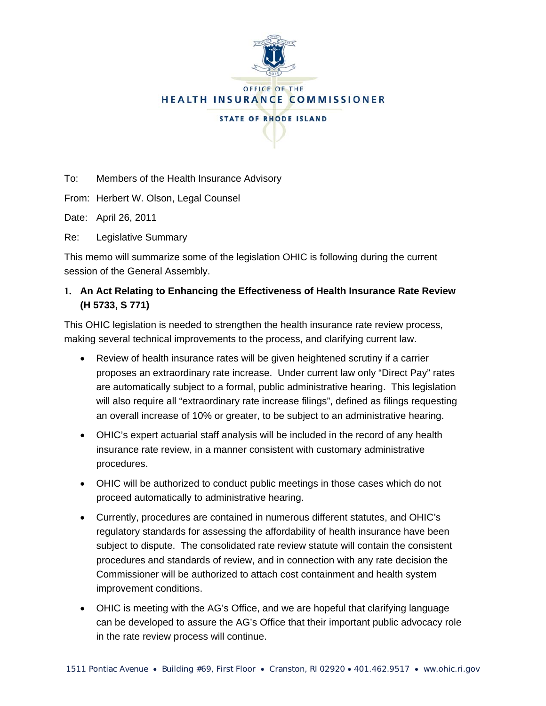

# OFFICE OF THE **HEALTH INSURANCE COMMISSIONER STATE OF RHODE ISLAND**

To: Members of the Health Insurance Advisory

From: Herbert W. Olson, Legal Counsel

Date: April 26, 2011

Re: Legislative Summary

This memo will summarize some of the legislation OHIC is following during the current session of the General Assembly.

### **1. An Act Relating to Enhancing the Effectiveness of Health Insurance Rate Review (H 5733, S 771)**

This OHIC legislation is needed to strengthen the health insurance rate review process, making several technical improvements to the process, and clarifying current law.

- Review of health insurance rates will be given heightened scrutiny if a carrier proposes an extraordinary rate increase. Under current law only "Direct Pay" rates are automatically subject to a formal, public administrative hearing. This legislation will also require all "extraordinary rate increase filings", defined as filings requesting an overall increase of 10% or greater, to be subject to an administrative hearing.
- OHIC's expert actuarial staff analysis will be included in the record of any health insurance rate review, in a manner consistent with customary administrative procedures.
- OHIC will be authorized to conduct public meetings in those cases which do not proceed automatically to administrative hearing.
- Currently, procedures are contained in numerous different statutes, and OHIC's regulatory standards for assessing the affordability of health insurance have been subject to dispute. The consolidated rate review statute will contain the consistent procedures and standards of review, and in connection with any rate decision the Commissioner will be authorized to attach cost containment and health system improvement conditions.
- OHIC is meeting with the AG's Office, and we are hopeful that clarifying language can be developed to assure the AG's Office that their important public advocacy role in the rate review process will continue.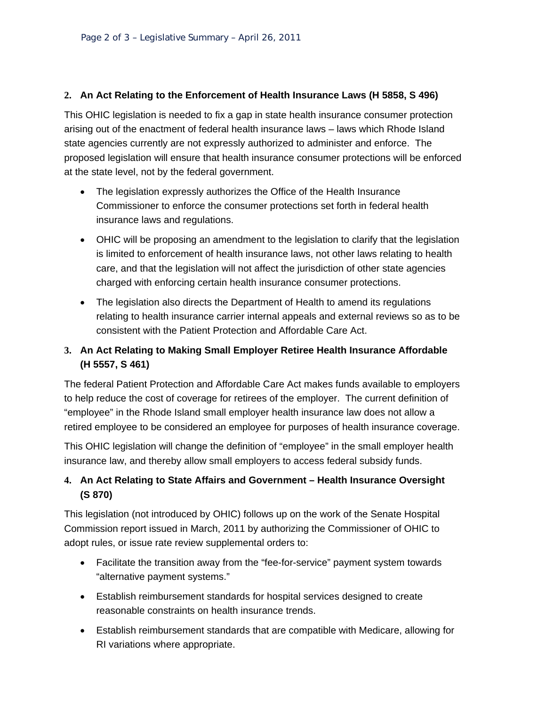#### **2. An Act Relating to the Enforcement of Health Insurance Laws (H 5858, S 496)**

This OHIC legislation is needed to fix a gap in state health insurance consumer protection arising out of the enactment of federal health insurance laws – laws which Rhode Island state agencies currently are not expressly authorized to administer and enforce. The proposed legislation will ensure that health insurance consumer protections will be enforced at the state level, not by the federal government.

- The legislation expressly authorizes the Office of the Health Insurance Commissioner to enforce the consumer protections set forth in federal health insurance laws and regulations.
- OHIC will be proposing an amendment to the legislation to clarify that the legislation is limited to enforcement of health insurance laws, not other laws relating to health care, and that the legislation will not affect the jurisdiction of other state agencies charged with enforcing certain health insurance consumer protections.
- The legislation also directs the Department of Health to amend its regulations relating to health insurance carrier internal appeals and external reviews so as to be consistent with the Patient Protection and Affordable Care Act.

## **3. An Act Relating to Making Small Employer Retiree Health Insurance Affordable (H 5557, S 461)**

The federal Patient Protection and Affordable Care Act makes funds available to employers to help reduce the cost of coverage for retirees of the employer. The current definition of "employee" in the Rhode Island small employer health insurance law does not allow a retired employee to be considered an employee for purposes of health insurance coverage.

This OHIC legislation will change the definition of "employee" in the small employer health insurance law, and thereby allow small employers to access federal subsidy funds.

## **4. An Act Relating to State Affairs and Government – Health Insurance Oversight (S 870)**

This legislation (not introduced by OHIC) follows up on the work of the Senate Hospital Commission report issued in March, 2011 by authorizing the Commissioner of OHIC to adopt rules, or issue rate review supplemental orders to:

- Facilitate the transition away from the "fee-for-service" payment system towards "alternative payment systems."
- Establish reimbursement standards for hospital services designed to create reasonable constraints on health insurance trends.
- Establish reimbursement standards that are compatible with Medicare, allowing for RI variations where appropriate.